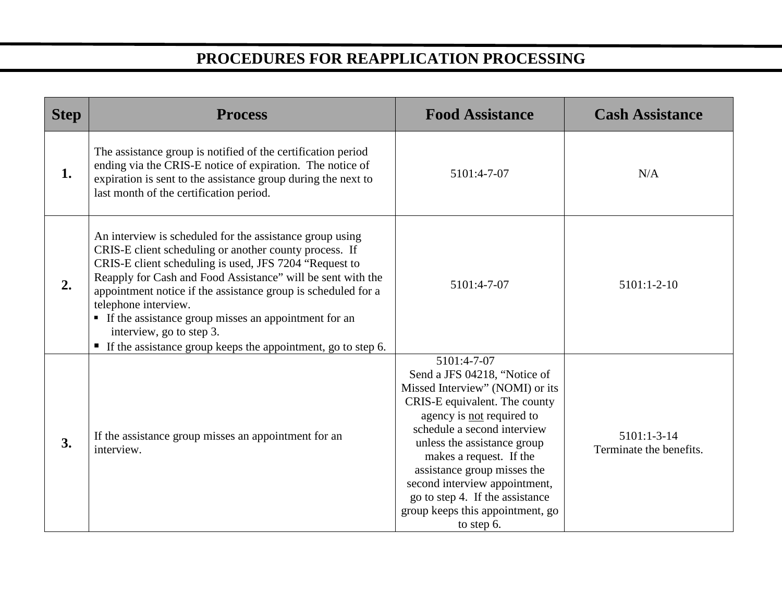## **PROCEDURES FOR REAPPLICATION PROCESSING**

| <b>Step</b> | <b>Process</b>                                                                                                                                                                                                                                                                                                                                                                                                                                                                             | <b>Food Assistance</b>                                                                                                                                                                                                                                                                                                                                                                     | <b>Cash Assistance</b>                   |
|-------------|--------------------------------------------------------------------------------------------------------------------------------------------------------------------------------------------------------------------------------------------------------------------------------------------------------------------------------------------------------------------------------------------------------------------------------------------------------------------------------------------|--------------------------------------------------------------------------------------------------------------------------------------------------------------------------------------------------------------------------------------------------------------------------------------------------------------------------------------------------------------------------------------------|------------------------------------------|
| 1.          | The assistance group is notified of the certification period<br>ending via the CRIS-E notice of expiration. The notice of<br>expiration is sent to the assistance group during the next to<br>last month of the certification period.                                                                                                                                                                                                                                                      | 5101:4-7-07                                                                                                                                                                                                                                                                                                                                                                                | N/A                                      |
| 2.          | An interview is scheduled for the assistance group using<br>CRIS-E client scheduling or another county process. If<br>CRIS-E client scheduling is used, JFS 7204 "Request to<br>Reapply for Cash and Food Assistance" will be sent with the<br>appointment notice if the assistance group is scheduled for a<br>telephone interview.<br>• If the assistance group misses an appointment for an<br>interview, go to step 3.<br>If the assistance group keeps the appointment, go to step 6. | 5101:4-7-07                                                                                                                                                                                                                                                                                                                                                                                | $5101:1-2-10$                            |
| 3.          | If the assistance group misses an appointment for an<br>interview.                                                                                                                                                                                                                                                                                                                                                                                                                         | 5101:4-7-07<br>Send a JFS 04218, "Notice of<br>Missed Interview" (NOMI) or its<br>CRIS-E equivalent. The county<br>agency is not required to<br>schedule a second interview<br>unless the assistance group<br>makes a request. If the<br>assistance group misses the<br>second interview appointment,<br>go to step 4. If the assistance<br>group keeps this appointment, go<br>to step 6. | $5101:1-3-14$<br>Terminate the benefits. |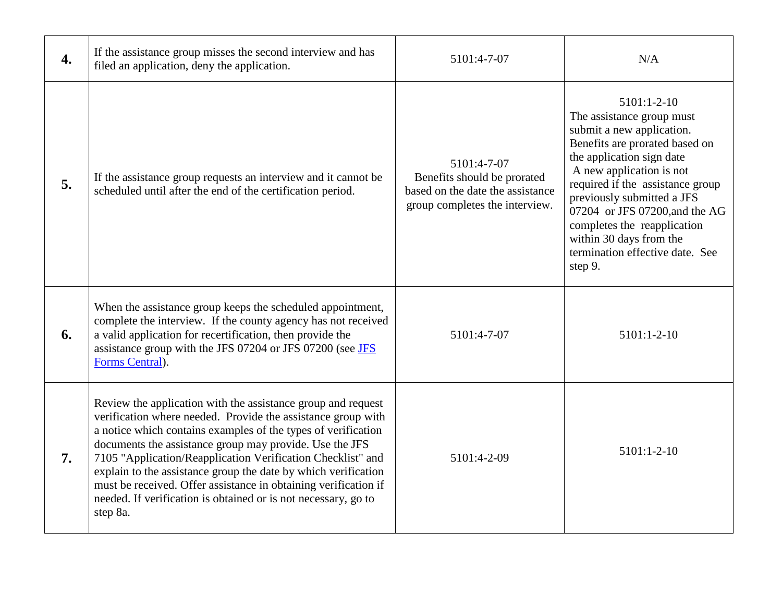| 4. | If the assistance group misses the second interview and has<br>filed an application, deny the application.                                                                                                                                                                                                                                                                                                                                                                                                                                 | 5101:4-7-07                                                                                                      | N/A                                                                                                                                                                                                                                                                                                                                                                            |
|----|--------------------------------------------------------------------------------------------------------------------------------------------------------------------------------------------------------------------------------------------------------------------------------------------------------------------------------------------------------------------------------------------------------------------------------------------------------------------------------------------------------------------------------------------|------------------------------------------------------------------------------------------------------------------|--------------------------------------------------------------------------------------------------------------------------------------------------------------------------------------------------------------------------------------------------------------------------------------------------------------------------------------------------------------------------------|
| 5. | If the assistance group requests an interview and it cannot be<br>scheduled until after the end of the certification period.                                                                                                                                                                                                                                                                                                                                                                                                               | 5101:4-7-07<br>Benefits should be prorated<br>based on the date the assistance<br>group completes the interview. | $5101:1-2-10$<br>The assistance group must<br>submit a new application.<br>Benefits are prorated based on<br>the application sign date<br>A new application is not<br>required if the assistance group<br>previously submitted a JFS<br>07204 or JFS 07200, and the AG<br>completes the reapplication<br>within 30 days from the<br>termination effective date. See<br>step 9. |
| 6. | When the assistance group keeps the scheduled appointment,<br>complete the interview. If the county agency has not received<br>a valid application for recertification, then provide the<br>assistance group with the JFS 07204 or JFS 07200 (see JFS<br>Forms Central).                                                                                                                                                                                                                                                                   | 5101:4-7-07                                                                                                      | $5101:1-2-10$                                                                                                                                                                                                                                                                                                                                                                  |
| 7. | Review the application with the assistance group and request<br>verification where needed. Provide the assistance group with<br>a notice which contains examples of the types of verification<br>documents the assistance group may provide. Use the JFS<br>7105 "Application/Reapplication Verification Checklist" and<br>explain to the assistance group the date by which verification<br>must be received. Offer assistance in obtaining verification if<br>needed. If verification is obtained or is not necessary, go to<br>step 8a. | 5101:4-2-09                                                                                                      | $5101:1-2-10$                                                                                                                                                                                                                                                                                                                                                                  |